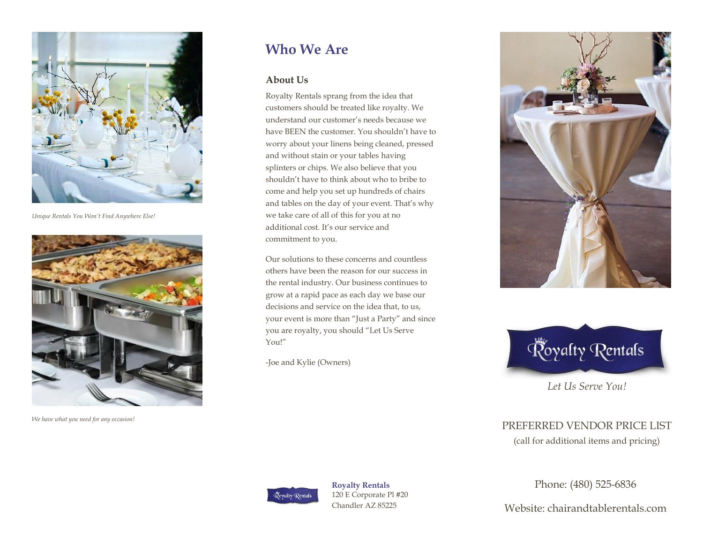

*Unique Rentals You Won't Find Anywhere Else!*



*We have what you need for any occasion!*

# **Who We Are**

#### **About Us**

Royalty Rentals sprang from the idea that customers should be treated like royalty. We understand our customer's needs because we have BEEN the customer. You shouldn't have to worry about your linens being cleaned, pressed and without stain or your tables having splinters or chips. We also believe that you shouldn't have to think about who to bribe to come and help you set up hundreds of chairs and tables on the day of your event. That's why we take care of all of this for you at no additional cost. It's our service and commitment to you.

Our solutions to these concerns and countless others have been the reason for our success in the rental industry. Our business continues to grow at a rapid pace as each day we base our decisions and service on the idea that, to us, your event is more than "Just a Party" and since you are royalty, you should "Let Us Serve You!"

-Joe and Kylie (Owners)





*Let Us Serve You!*

# PREFERRED VENDOR PRICE LIST

(call for additional items and pricing)



**Royalty Rentals** 120 E Corporate Pl #20 Chandler AZ 85225

Phone: (480) 525-6836

Website: chairandtablerentals.com